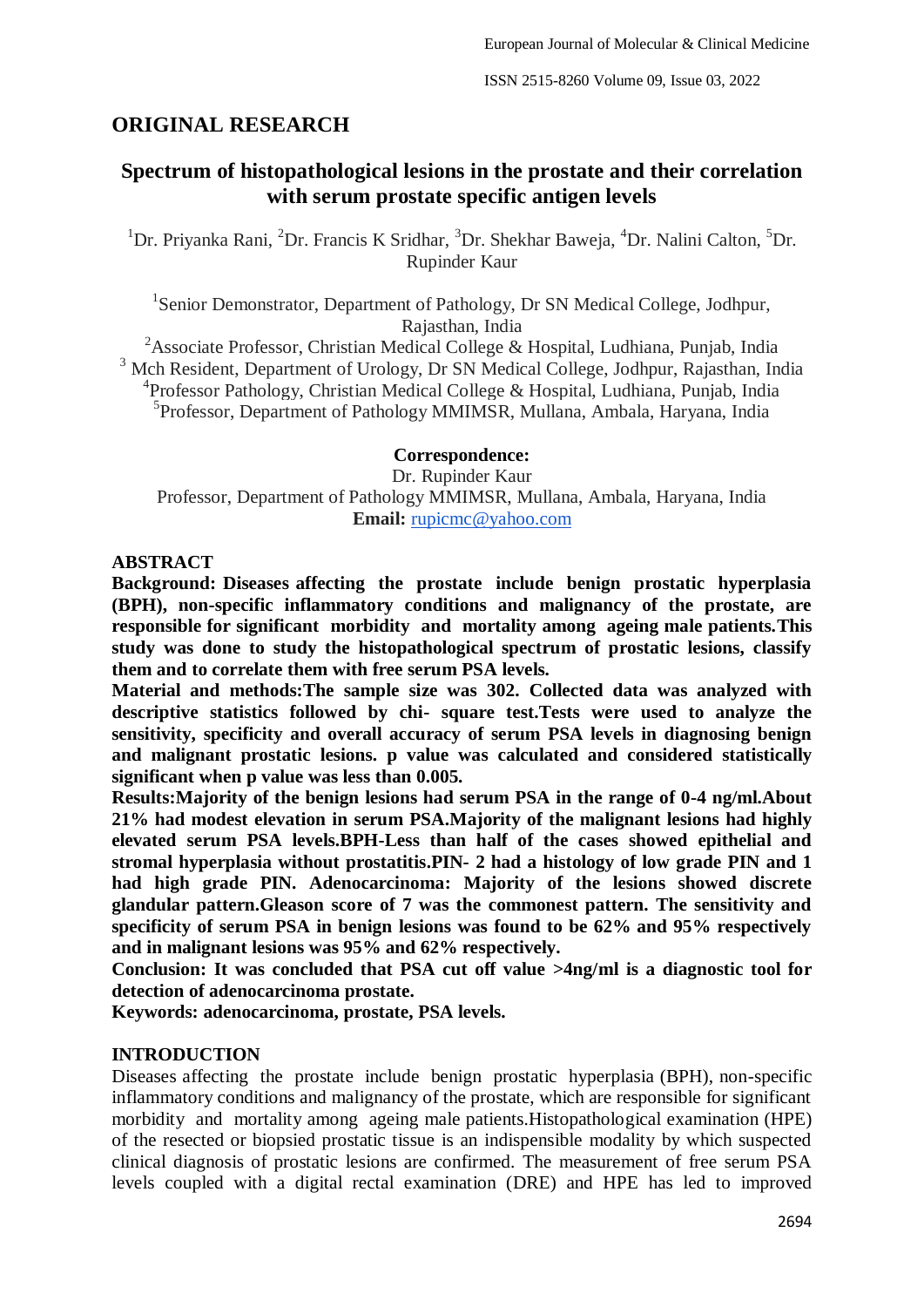# **ORIGINAL RESEARCH**

# **Spectrum of histopathological lesions in the prostate and their correlation with serum prostate specific antigen levels**

<sup>1</sup>Dr. Priyanka Rani, <sup>2</sup>Dr. Francis K Sridhar, <sup>3</sup>Dr. Shekhar Baweja, <sup>4</sup>Dr. Nalini Calton, <sup>5</sup>Dr. Rupinder Kaur

<sup>1</sup>Senior Demonstrator, Department of Pathology, Dr SN Medical College, Jodhpur, Rajasthan, India

<sup>2</sup>Associate Professor, Christian Medical College & Hospital, Ludhiana, Punjab, India <sup>3</sup> Mch Resident, Department of Urology, Dr SN Medical College, Jodhpur, Rajasthan, India 4 Professor Pathology, Christian Medical College & Hospital, Ludhiana, Punjab, India 5 Professor, Department of Pathology MMIMSR, Mullana, Ambala, Haryana, India

### **Correspondence:**

Dr. Rupinder Kaur Professor, Department of Pathology MMIMSR, Mullana, Ambala, Haryana, India **Email:** [rupicmc@yahoo.com](mailto:rupicmc@yahoo.com)

### **ABSTRACT**

**Background: Diseases affecting the prostate include benign prostatic hyperplasia (BPH), non-specific inflammatory conditions and malignancy of the prostate, are responsible for significant morbidity and mortality among ageing male patients.This study was done to study the histopathological spectrum of prostatic lesions, classify them and to correlate them with free serum PSA levels.**

**Material and methods:The sample size was 302. Collected data was analyzed with descriptive statistics followed by chi- square test.Tests were used to analyze the sensitivity, specificity and overall accuracy of serum PSA levels in diagnosing benign and malignant prostatic lesions. p value was calculated and considered statistically significant when p value was less than 0.005.**

**Results:Majority of the benign lesions had serum PSA in the range of 0-4 ng/ml.About 21% had modest elevation in serum PSA.Majority of the malignant lesions had highly elevated serum PSA levels.BPH-Less than half of the cases showed epithelial and stromal hyperplasia without prostatitis.PIN- 2 had a histology of low grade PIN and 1 had high grade PIN. Adenocarcinoma: Majority of the lesions showed discrete glandular pattern.Gleason score of 7 was the commonest pattern. The sensitivity and specificity of serum PSA in benign lesions was found to be 62% and 95% respectively and in malignant lesions was 95% and 62% respectively.**

**Conclusion: It was concluded that PSA cut off value >4ng/ml is a diagnostic tool for detection of adenocarcinoma prostate.**

**Keywords: adenocarcinoma, prostate, PSA levels.**

### **INTRODUCTION**

Diseases affecting the prostate include benign prostatic hyperplasia (BPH), non-specific inflammatory conditions and malignancy of the prostate, which are responsible for significant morbidity and mortality among ageing male patients.Histopathological examination (HPE) of the resected or biopsied prostatic tissue is an indispensible modality by which suspected clinical diagnosis of prostatic lesions are confirmed. The measurement of free serum PSA levels coupled with a digital rectal examination (DRE) and HPE has led to improved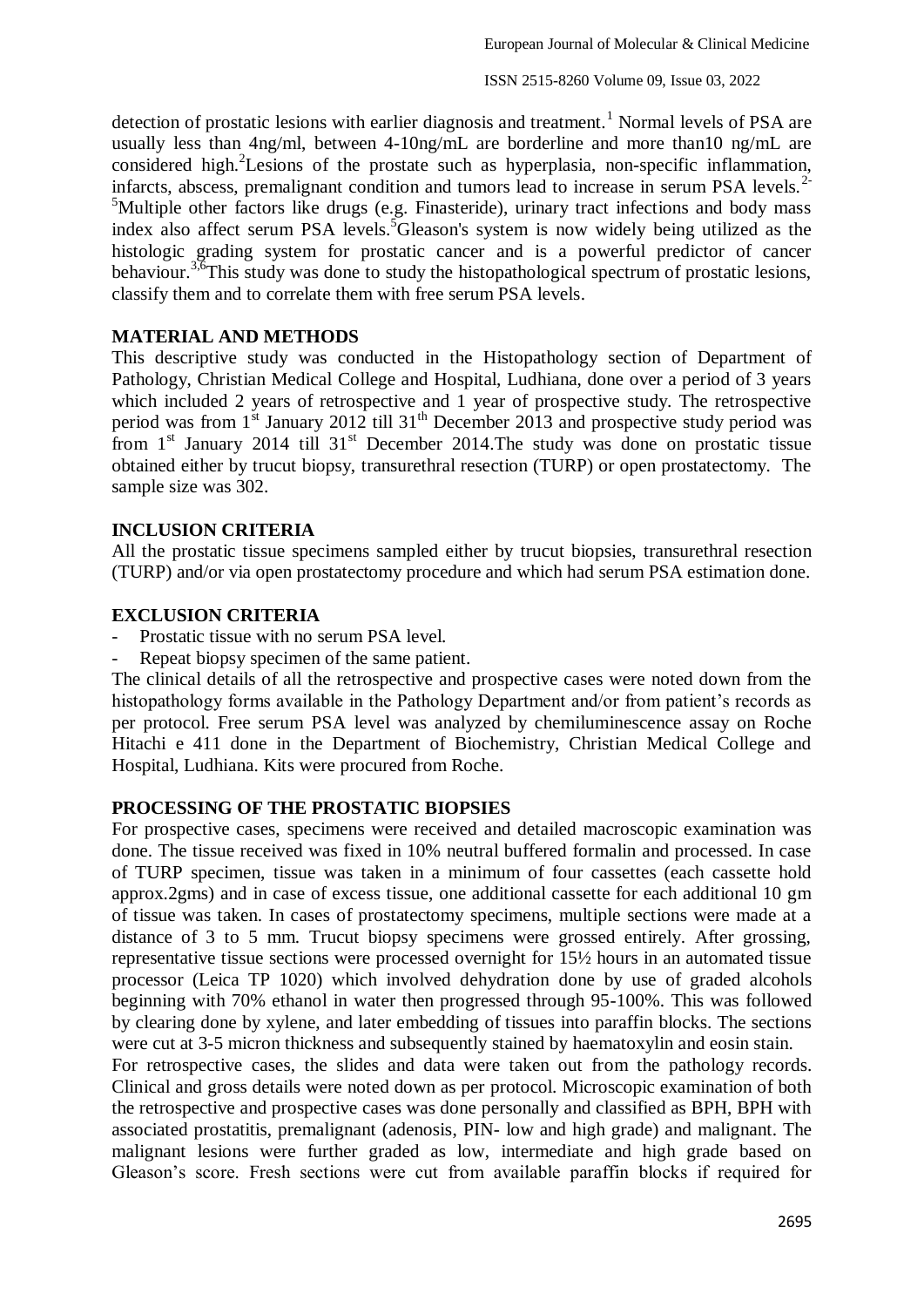detection of prostatic lesions with earlier diagnosis and treatment.<sup>1</sup> Normal levels of PSA are usually less than 4ng/ml, between 4-10ng/mL are borderline and more than10 ng/mL are considered high.<sup>2</sup> Lesions of the prostate such as hyperplasia, non-specific inflammation, infarcts, abscess, premalignant condition and tumors lead to increase in serum PSA levels.<sup>2-</sup> <sup>5</sup>Multiple other factors like drugs (e.g. Finasteride), urinary tract infections and body mass index also affect serum PSA levels.<sup>5</sup>Gleason's system is now widely being utilized as the histologic grading system for prostatic cancer and is a powerful predictor of cancer behaviour.<sup>3,6</sup>This study was done to study the histopathological spectrum of prostatic lesions, classify them and to correlate them with free serum PSA levels.

#### **MATERIAL AND METHODS**

This descriptive study was conducted in the Histopathology section of Department of Pathology, Christian Medical College and Hospital, Ludhiana, done over a period of 3 years which included 2 years of retrospective and 1 year of prospective study. The retrospective period was from  $1^{st}$  January 2012 till 31<sup>th</sup> December 2013 and prospective study period was from  $1<sup>st</sup>$  January 2014 till  $31<sup>st</sup>$  December 2014. The study was done on prostatic tissue obtained either by trucut biopsy, transurethral resection (TURP) or open prostatectomy. The sample size was 302.

#### **INCLUSION CRITERIA**

All the prostatic tissue specimens sampled either by trucut biopsies, transurethral resection (TURP) and/or via open prostatectomy procedure and which had serum PSA estimation done.

#### **EXCLUSION CRITERIA**

- Prostatic tissue with no serum PSA level.
- Repeat biopsy specimen of the same patient.

The clinical details of all the retrospective and prospective cases were noted down from the histopathology forms available in the Pathology Department and/or from patient's records as per protocol. Free serum PSA level was analyzed by chemiluminescence assay on Roche Hitachi e 411 done in the Department of Biochemistry, Christian Medical College and Hospital, Ludhiana. Kits were procured from Roche.

#### **PROCESSING OF THE PROSTATIC BIOPSIES**

For prospective cases, specimens were received and detailed macroscopic examination was done. The tissue received was fixed in 10% neutral buffered formalin and processed. In case of TURP specimen, tissue was taken in a minimum of four cassettes (each cassette hold approx.2gms) and in case of excess tissue, one additional cassette for each additional 10 gm of tissue was taken. In cases of prostatectomy specimens, multiple sections were made at a distance of 3 to 5 mm. Trucut biopsy specimens were grossed entirely. After grossing, representative tissue sections were processed overnight for 15½ hours in an automated tissue processor (Leica TP 1020) which involved dehydration done by use of graded alcohols beginning with 70% ethanol in water then progressed through 95-100%. This was followed by clearing done by xylene, and later embedding of tissues into paraffin blocks. The sections were cut at 3-5 micron thickness and subsequently stained by haematoxylin and eosin stain.

For retrospective cases, the slides and data were taken out from the pathology records. Clinical and gross details were noted down as per protocol. Microscopic examination of both the retrospective and prospective cases was done personally and classified as BPH, BPH with associated prostatitis, premalignant (adenosis, PIN- low and high grade) and malignant. The malignant lesions were further graded as low, intermediate and high grade based on Gleason's score. Fresh sections were cut from available paraffin blocks if required for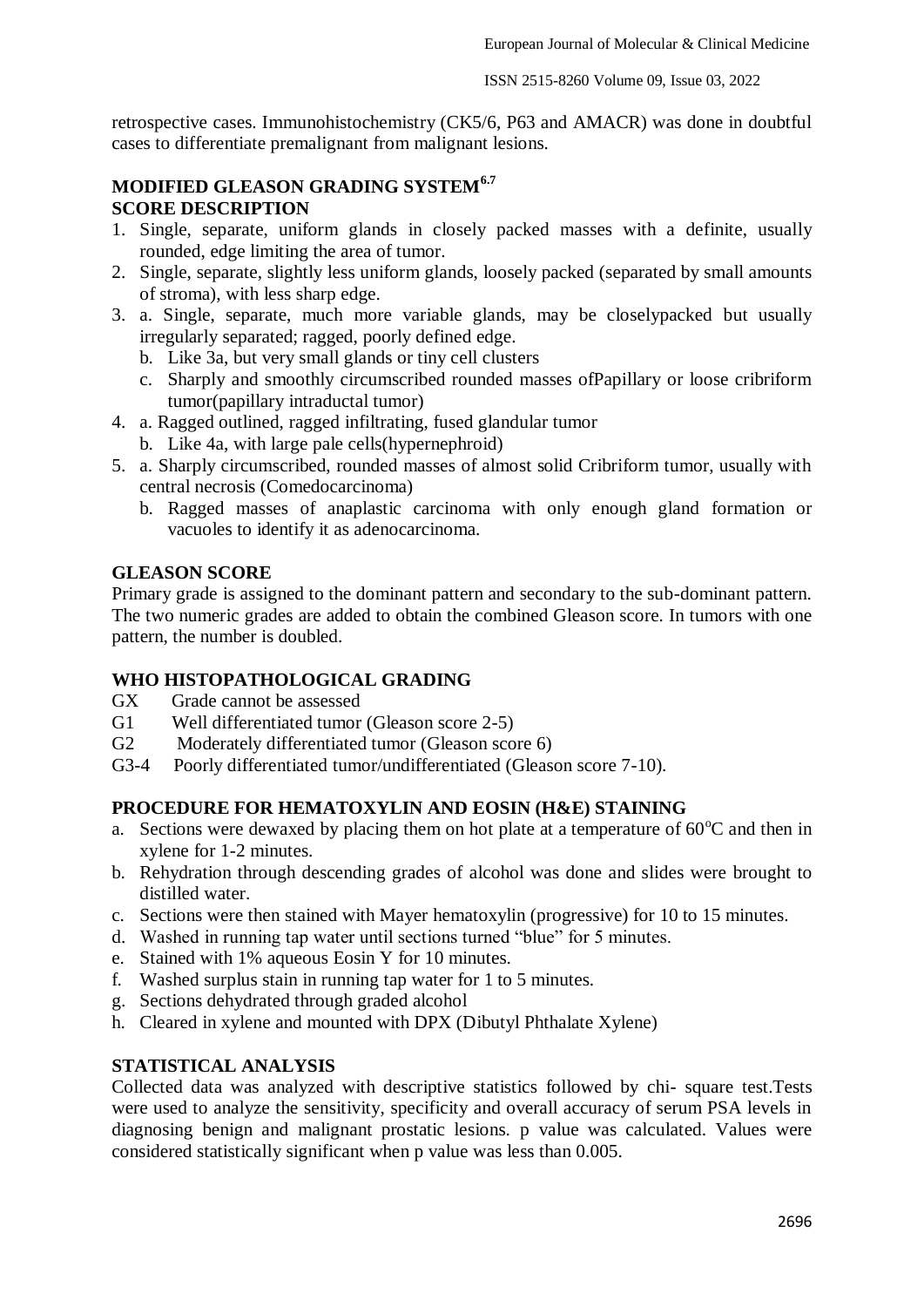retrospective cases. Immunohistochemistry (CK5/6, P63 and AMACR) was done in doubtful cases to differentiate premalignant from malignant lesions.

## **MODIFIED GLEASON GRADING SYSTEM6.7 SCORE DESCRIPTION**

- 1. Single, separate, uniform glands in closely packed masses with a definite, usually rounded, edge limiting the area of tumor.
- 2. Single, separate, slightly less uniform glands, loosely packed (separated by small amounts of stroma), with less sharp edge.
- 3. a. Single, separate, much more variable glands, may be closelypacked but usually irregularly separated; ragged, poorly defined edge.
	- b. Like 3a, but very small glands or tiny cell clusters
	- c. Sharply and smoothly circumscribed rounded masses ofPapillary or loose cribriform tumor(papillary intraductal tumor)
- 4. a. Ragged outlined, ragged infiltrating, fused glandular tumor
	- b. Like 4a, with large pale cells(hypernephroid)
- 5. a. Sharply circumscribed, rounded masses of almost solid Cribriform tumor, usually with central necrosis (Comedocarcinoma)
	- b. Ragged masses of anaplastic carcinoma with only enough gland formation or vacuoles to identify it as adenocarcinoma.

### **GLEASON SCORE**

Primary grade is assigned to the dominant pattern and secondary to the sub-dominant pattern. The two numeric grades are added to obtain the combined Gleason score. In tumors with one pattern, the number is doubled.

### **WHO HISTOPATHOLOGICAL GRADING**

- GX Grade cannot be assessed
- G1 Well differentiated tumor (Gleason score 2-5)
- G2 Moderately differentiated tumor (Gleason score 6)
- G3-4 Poorly differentiated tumor/undifferentiated (Gleason score 7-10).

# **PROCEDURE FOR HEMATOXYLIN AND EOSIN (H&E) STAINING**

- a. Sections were dewaxed by placing them on hot plate at a temperature of  $60^{\circ}$ C and then in xylene for 1-2 minutes.
- b. Rehydration through descending grades of alcohol was done and slides were brought to distilled water.
- c. Sections were then stained with Mayer hematoxylin (progressive) for 10 to 15 minutes.
- d. Washed in running tap water until sections turned "blue" for 5 minutes.
- e. Stained with 1% aqueous Eosin Y for 10 minutes.
- f. Washed surplus stain in running tap water for 1 to 5 minutes.
- g. Sections dehydrated through graded alcohol
- h. Cleared in xylene and mounted with DPX (Dibutyl Phthalate Xylene)

## **STATISTICAL ANALYSIS**

Collected data was analyzed with descriptive statistics followed by chi- square test.Tests were used to analyze the sensitivity, specificity and overall accuracy of serum PSA levels in diagnosing benign and malignant prostatic lesions. p value was calculated. Values were considered statistically significant when p value was less than 0.005.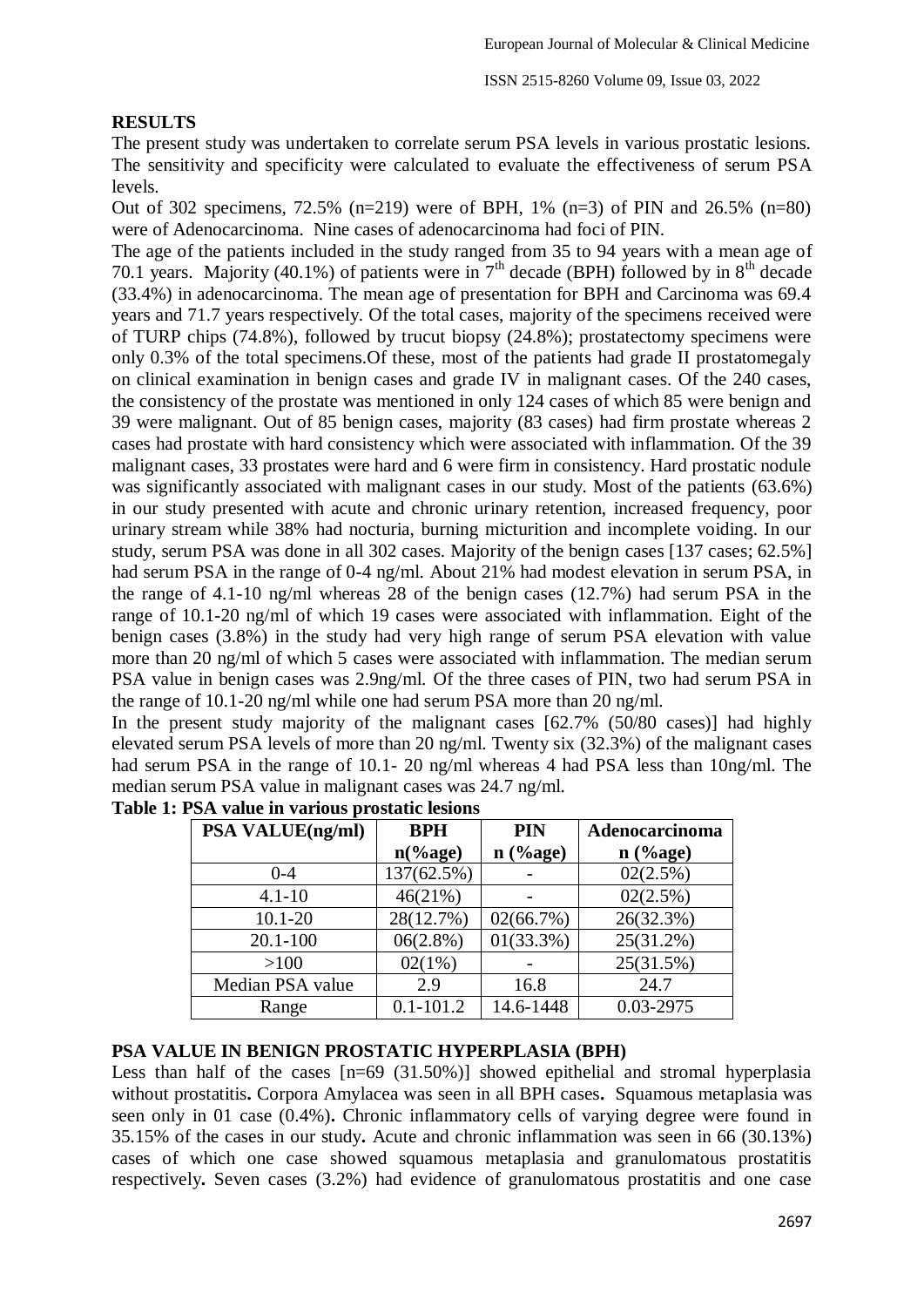## **RESULTS**

The present study was undertaken to correlate serum PSA levels in various prostatic lesions. The sensitivity and specificity were calculated to evaluate the effectiveness of serum PSA levels.

Out of 302 specimens,  $72.5\%$  (n=219) were of BPH, 1% (n=3) of PIN and 26.5% (n=80) were of Adenocarcinoma. Nine cases of adenocarcinoma had foci of PIN.

The age of the patients included in the study ranged from 35 to 94 years with a mean age of 70.1 years. Majority (40.1%) of patients were in  $7<sup>th</sup>$  decade (BPH) followed by in  $8<sup>th</sup>$  decade (33.4%) in adenocarcinoma. The mean age of presentation for BPH and Carcinoma was 69.4 years and 71.7 years respectively. Of the total cases, majority of the specimens received were of TURP chips (74.8%), followed by trucut biopsy (24.8%); prostatectomy specimens were only 0.3% of the total specimens.Of these, most of the patients had grade II prostatomegaly on clinical examination in benign cases and grade IV in malignant cases. Of the 240 cases, the consistency of the prostate was mentioned in only 124 cases of which 85 were benign and 39 were malignant. Out of 85 benign cases, majority (83 cases) had firm prostate whereas 2 cases had prostate with hard consistency which were associated with inflammation. Of the 39 malignant cases, 33 prostates were hard and 6 were firm in consistency. Hard prostatic nodule was significantly associated with malignant cases in our study. Most of the patients (63.6%) in our study presented with acute and chronic urinary retention, increased frequency, poor urinary stream while 38% had nocturia, burning micturition and incomplete voiding. In our study, serum PSA was done in all 302 cases. Majority of the benign cases [137 cases; 62.5%] had serum PSA in the range of 0-4 ng/ml. About 21% had modest elevation in serum PSA, in the range of 4.1-10 ng/ml whereas 28 of the benign cases (12.7%) had serum PSA in the range of 10.1-20 ng/ml of which 19 cases were associated with inflammation. Eight of the benign cases (3.8%) in the study had very high range of serum PSA elevation with value more than 20 ng/ml of which 5 cases were associated with inflammation. The median serum PSA value in benign cases was 2.9ng/ml. Of the three cases of PIN, two had serum PSA in the range of 10.1-20 ng/ml while one had serum PSA more than 20 ng/ml.

In the present study majority of the malignant cases [62.7% (50/80 cases)] had highly elevated serum PSA levels of more than 20 ng/ml. Twenty six (32.3%) of the malignant cases had serum PSA in the range of 10.1- 20 ng/ml whereas 4 had PSA less than 10ng/ml. The median serum PSA value in malignant cases was 24.7 ng/ml.

| <b>PSA VALUE(ng/ml)</b> | <b>BPH</b>    | PIN          | Adenocarcinoma |
|-------------------------|---------------|--------------|----------------|
|                         | $n$ (%age)    | $n$ (%age)   | $n$ (%age)     |
| $0 - 4$                 | 137(62.5%)    |              | 02(2.5%)       |
| $4.1 - 10$              | 46(21%)       |              | 02(2.5%)       |
| $10.1 - 20$             | 28(12.7%)     | 02(66.7%)    | 26(32.3%)      |
| $20.1 - 100$            | 06(2.8%)      | $01(33.3\%)$ | 25(31.2%)      |
| >100                    | $02(1\%)$     |              | 25(31.5%)      |
| Median PSA value        | 2.9           | 16.8         | 24.7           |
| Range                   | $0.1 - 101.2$ | 14.6-1448    | 0.03-2975      |

**Table 1: PSA value in various prostatic lesions**

## **PSA VALUE IN BENIGN PROSTATIC HYPERPLASIA (BPH)**

Less than half of the cases  $[n=69 (31.50%)]$  showed epithelial and stromal hyperplasia without prostatitis**.** Corpora Amylacea was seen in all BPH cases**.** Squamous metaplasia was seen only in 01 case (0.4%)**.** Chronic inflammatory cells of varying degree were found in 35.15% of the cases in our study**.** Acute and chronic inflammation was seen in 66 (30.13%) cases of which one case showed squamous metaplasia and granulomatous prostatitis respectively**.** Seven cases (3.2%) had evidence of granulomatous prostatitis and one case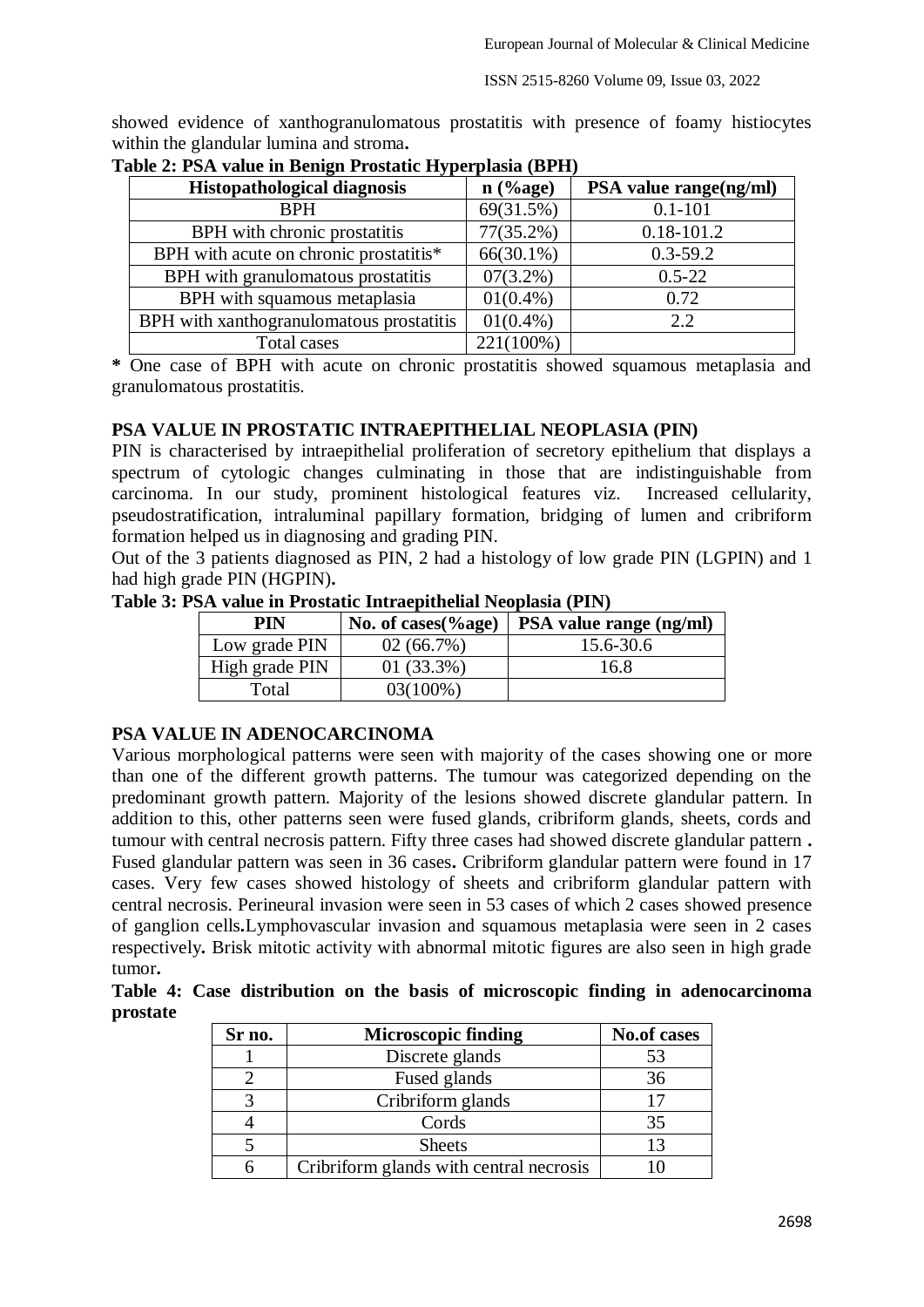showed evidence of xanthogranulomatous prostatitis with presence of foamy histiocytes within the glandular lumina and stroma**.**

| <b>Histopathological diagnosis</b>       | $n$ (%age)   | PSA value range(ng/ml) |
|------------------------------------------|--------------|------------------------|
| <b>BPH</b>                               | 69(31.5%)    | $0.1 - 101$            |
| BPH with chronic prostatitis             | $77(35.2\%)$ | $0.18 - 101.2$         |
| BPH with acute on chronic prostatitis*   | $66(30.1\%)$ | $0.3 - 59.2$           |
| BPH with granulomatous prostatitis       | $07(3.2\%)$  | $0.5 - 22$             |
| BPH with squamous metaplasia             | $01(0.4\%)$  | 0.72                   |
| BPH with xanthogranulomatous prostatitis | $01(0.4\%)$  | 2.2                    |
| Total cases                              | 221(100%)    |                        |

**Table 2: PSA value in Benign Prostatic Hyperplasia (BPH)** 

**\*** One case of BPH with acute on chronic prostatitis showed squamous metaplasia and granulomatous prostatitis.

## **PSA VALUE IN PROSTATIC INTRAEPITHELIAL NEOPLASIA (PIN)**

PIN is characterised by intraepithelial proliferation of secretory epithelium that displays a spectrum of cytologic changes culminating in those that are indistinguishable from carcinoma. In our study, prominent histological features viz. Increased cellularity, pseudostratification, intraluminal papillary formation, bridging of lumen and cribriform formation helped us in diagnosing and grading PIN.

Out of the 3 patients diagnosed as PIN, 2 had a histology of low grade PIN (LGPIN) and 1 had high grade PIN (HGPIN)**.**

**Table 3: PSA value in Prostatic Intraepithelial Neoplasia (PIN)**

| PIN            | No. of cases $\left(\%$ age) | PSA value range (ng/ml) |
|----------------|------------------------------|-------------------------|
| Low grade PIN  | 02(66.7%)                    | 15.6-30.6               |
| High grade PIN | $01(33.3\%)$                 | 16.8                    |
| Total          | 03(100%)                     |                         |

# **PSA VALUE IN ADENOCARCINOMA**

Various morphological patterns were seen with majority of the cases showing one or more than one of the different growth patterns. The tumour was categorized depending on the predominant growth pattern. Majority of the lesions showed discrete glandular pattern. In addition to this, other patterns seen were fused glands, cribriform glands, sheets, cords and tumour with central necrosis pattern. Fifty three cases had showed discrete glandular pattern **.** Fused glandular pattern was seen in 36 cases**.** Cribriform glandular pattern were found in 17 cases. Very few cases showed histology of sheets and cribriform glandular pattern with central necrosis. Perineural invasion were seen in 53 cases of which 2 cases showed presence of ganglion cells**.**Lymphovascular invasion and squamous metaplasia were seen in 2 cases respectively**.** Brisk mitotic activity with abnormal mitotic figures are also seen in high grade tumor**.**

**Table 4: Case distribution on the basis of microscopic finding in adenocarcinoma prostate**

| Sr no. | <b>Microscopic finding</b>              | <b>No.of cases</b> |
|--------|-----------------------------------------|--------------------|
|        | Discrete glands                         | 53                 |
|        | Fused glands                            | 36                 |
|        | Cribriform glands                       |                    |
|        | Cords                                   | 35                 |
|        | <b>Sheets</b>                           | 13                 |
|        | Cribriform glands with central necrosis |                    |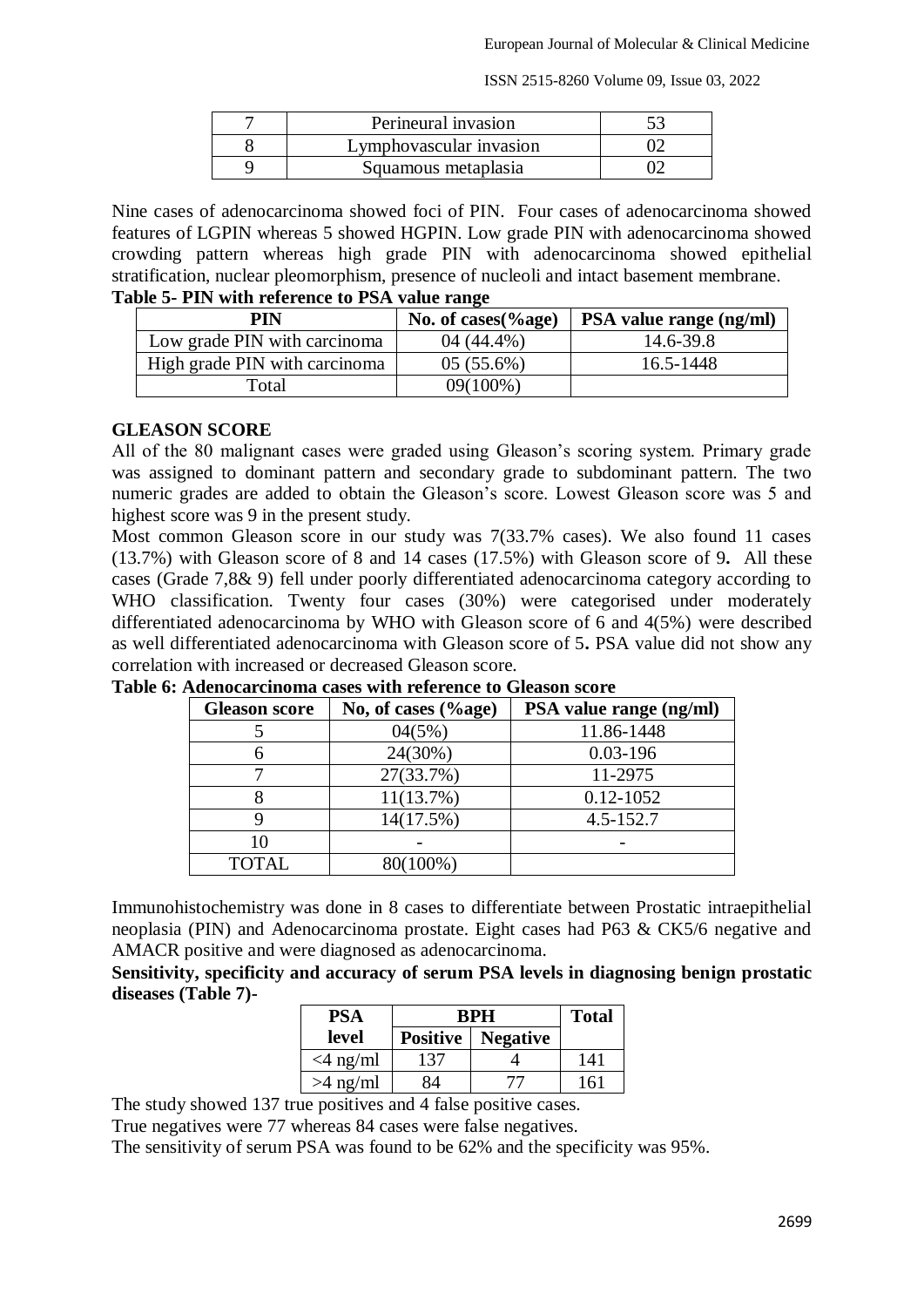ISSN 2515-8260 Volume 09, Issue 03, 2022

| Perineural invasion     |  |
|-------------------------|--|
| Lymphovascular invasion |  |
| Squamous metaplasia     |  |

Nine cases of adenocarcinoma showed foci of PIN. Four cases of adenocarcinoma showed features of LGPIN whereas 5 showed HGPIN. Low grade PIN with adenocarcinoma showed crowding pattern whereas high grade PIN with adenocarcinoma showed epithelial stratification, nuclear pleomorphism, presence of nucleoli and intact basement membrane. **Table 5- PIN with reference to PSA value range**

| PIN                           | No. of cases $\left(\%$ age) | <b>PSA</b> value range (ng/ml) |
|-------------------------------|------------------------------|--------------------------------|
| Low grade PIN with carcinoma  | $04(44.4\%)$                 | 14.6-39.8                      |
| High grade PIN with carcinoma | $05(55.6\%)$                 | 16.5-1448                      |
| Total                         | 09(100%)                     |                                |

## **GLEASON SCORE**

All of the 80 malignant cases were graded using Gleason's scoring system. Primary grade was assigned to dominant pattern and secondary grade to subdominant pattern. The two numeric grades are added to obtain the Gleason's score. Lowest Gleason score was 5 and highest score was 9 in the present study.

Most common Gleason score in our study was 7(33.7% cases). We also found 11 cases (13.7%) with Gleason score of 8 and 14 cases (17.5%) with Gleason score of 9**.** All these cases (Grade 7,8& 9) fell under poorly differentiated adenocarcinoma category according to WHO classification. Twenty four cases (30%) were categorised under moderately differentiated adenocarcinoma by WHO with Gleason score of 6 and 4(5%) were described as well differentiated adenocarcinoma with Gleason score of 5**.** PSA value did not show any correlation with increased or decreased Gleason score.

| <b>Gleason score</b> | No, of cases $(\%$ age) | PSA value range (ng/ml) |
|----------------------|-------------------------|-------------------------|
|                      | 04(5%)                  | 11.86-1448              |
|                      | 24(30%)                 | $0.03 - 196$            |
|                      | 27(33.7%)               | 11-2975                 |
|                      | 11(13.7%)               | 0.12-1052               |
|                      | 14(17.5%)               | $4.5 - 152.7$           |
| 10                   |                         |                         |
| <b>TOTAL</b>         | 80(100%)                |                         |

**Table 6: Adenocarcinoma cases with reference to Gleason score** 

Immunohistochemistry was done in 8 cases to differentiate between Prostatic intraepithelial neoplasia (PIN) and Adenocarcinoma prostate. Eight cases had P63 & CK5/6 negative and AMACR positive and were diagnosed as adenocarcinoma.

**Sensitivity, specificity and accuracy of serum PSA levels in diagnosing benign prostatic diseases (Table 7)-**

| PSA         | <b>BPH</b> |                            | <b>Total</b> |
|-------------|------------|----------------------------|--------------|
| level       |            | <b>Positive</b>   Negative |              |
| $<$ 4 ng/ml | 137        |                            | 141          |
| $>4$ ng/ml  |            | 77                         | 161          |

The study showed 137 true positives and 4 false positive cases.

True negatives were 77 whereas 84 cases were false negatives.

The sensitivity of serum PSA was found to be 62% and the specificity was 95%.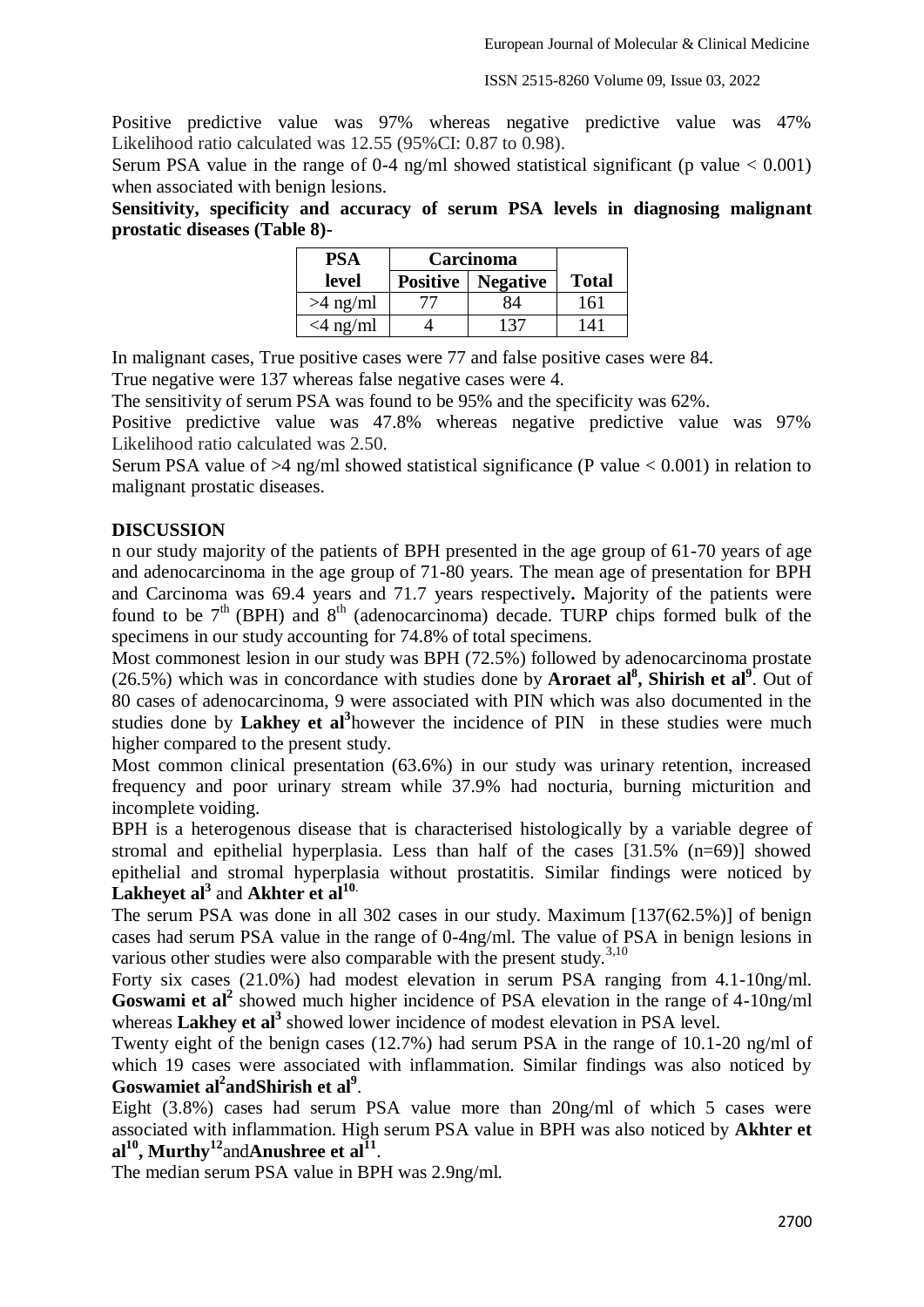ISSN 2515-8260 Volume 09, Issue 03, 2022

Positive predictive value was 97% whereas negative predictive value was 47% Likelihood ratio calculated was 12.55 (95%CI: 0.87 to 0.98).

Serum PSA value in the range of 0-4 ng/ml showed statistical significant (p value  $< 0.001$ ) when associated with benign lesions.

**Sensitivity, specificity and accuracy of serum PSA levels in diagnosing malignant prostatic diseases (Table 8)-**

| PSA         | Carcinoma                         |     |              |
|-------------|-----------------------------------|-----|--------------|
| level       | <b>Positive</b>   <b>Negative</b> |     | <b>Total</b> |
| $>4$ ng/ml  | 77                                | 84  | 161          |
| $<$ 4 ng/ml |                                   | 137 | 141          |

In malignant cases, True positive cases were 77 and false positive cases were 84. True negative were 137 whereas false negative cases were 4.

The sensitivity of serum PSA was found to be 95% and the specificity was 62%.

Positive predictive value was 47.8% whereas negative predictive value was 97% Likelihood ratio calculated was 2.50.

Serum PSA value of  $>4$  ng/ml showed statistical significance (P value  $< 0.001$ ) in relation to malignant prostatic diseases.

#### **DISCUSSION**

n our study majority of the patients of BPH presented in the age group of 61-70 years of age and adenocarcinoma in the age group of 71-80 years. The mean age of presentation for BPH and Carcinoma was 69.4 years and 71.7 years respectively**.** Majority of the patients were found to be  $7<sup>th</sup>$  (BPH) and  $8<sup>th</sup>$  (adenocarcinoma) decade. TURP chips formed bulk of the specimens in our study accounting for 74.8% of total specimens.

Most commonest lesion in our study was BPH (72.5%) followed by adenocarcinoma prostate (26.5%) which was in concordance with studies done by **Aroraet al<sup>8</sup> , Shirish et al<sup>9</sup>** . Out of 80 cases of adenocarcinoma, 9 were associated with PIN which was also documented in the studies done by **Lakhey et al<sup>3</sup>** however the incidence of PIN in these studies were much higher compared to the present study.

Most common clinical presentation (63.6%) in our study was urinary retention, increased frequency and poor urinary stream while 37.9% had nocturia, burning micturition and incomplete voiding.

BPH is a heterogenous disease that is characterised histologically by a variable degree of stromal and epithelial hyperplasia. Less than half of the cases [31.5% (n=69)] showed epithelial and stromal hyperplasia without prostatitis. Similar findings were noticed by **Lakheyet al<sup>3</sup>** and **Akhter et al<sup>10</sup>**.

The serum PSA was done in all 302 cases in our study. Maximum [137(62.5%)] of benign cases had serum PSA value in the range of 0-4ng/ml. The value of PSA in benign lesions in various other studies were also comparable with the present study. $3,10$ 

Forty six cases (21.0%) had modest elevation in serum PSA ranging from 4.1-10ng/ml. Goswami et al<sup>2</sup> showed much higher incidence of PSA elevation in the range of 4-10ng/ml whereas **Lakhey et al**<sup>3</sup> showed lower incidence of modest elevation in PSA level.

Twenty eight of the benign cases (12.7%) had serum PSA in the range of 10.1-20 ng/ml of which 19 cases were associated with inflammation. Similar findings was also noticed by Goswamiet al<sup>2</sup> and Shirish et al<sup>9</sup>.

Eight (3.8%) cases had serum PSA value more than 20ng/ml of which 5 cases were associated with inflammation. High serum PSA value in BPH was also noticed by **Akhter et al<sup>10</sup>, Murthy<sup>12</sup>**and**Anushree et al<sup>11</sup>** .

The median serum PSA value in BPH was 2.9ng/ml.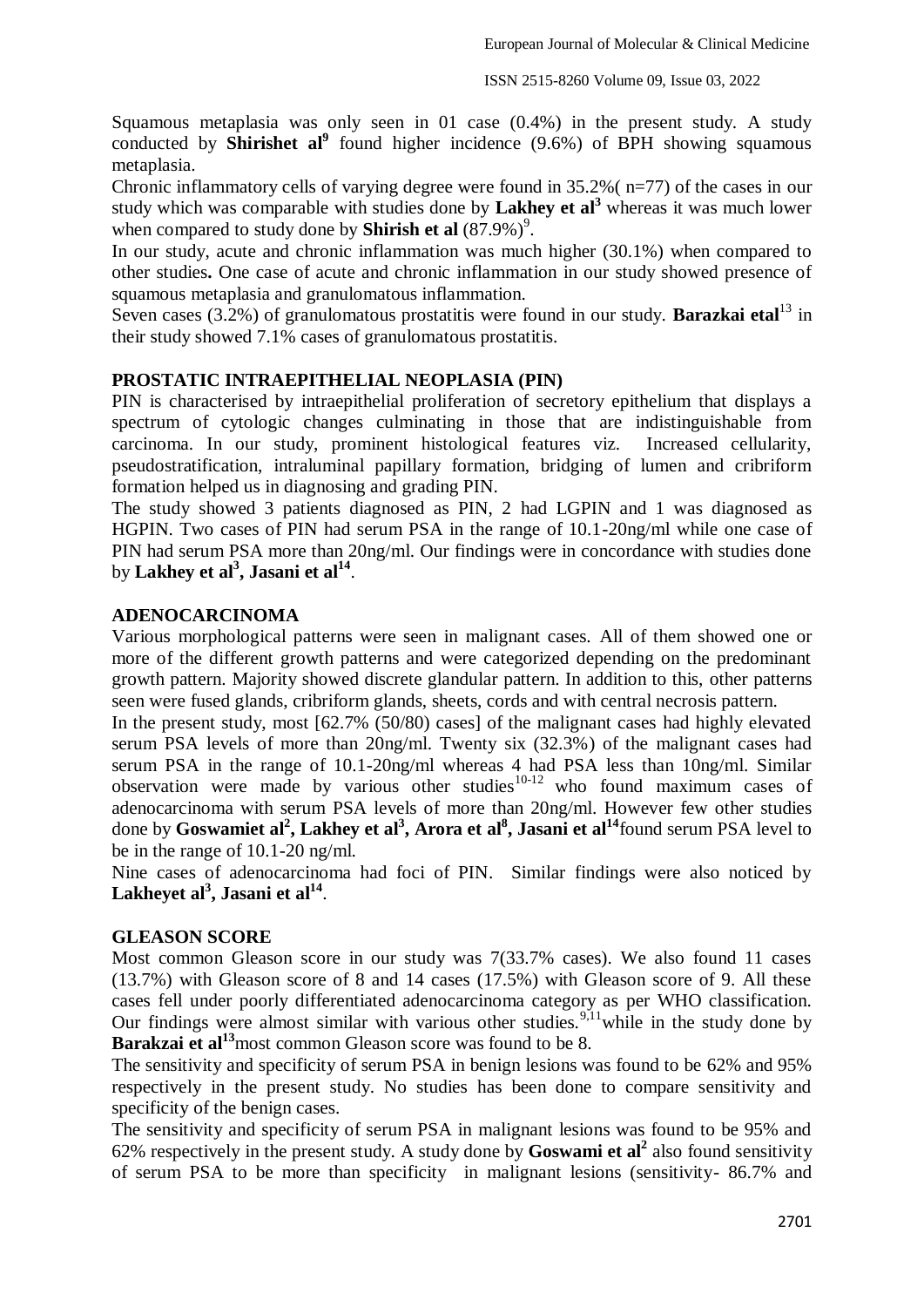Squamous metaplasia was only seen in 01 case (0.4%) in the present study. A study conducted by **Shirishet al**<sup>9</sup> found higher incidence (9.6%) of BPH showing squamous metaplasia.

Chronic inflammatory cells of varying degree were found in 35.2%( n=77) of the cases in our study which was comparable with studies done by **Lakhey et al<sup>3</sup>** whereas it was much lower when compared to study done by **Shirish et al**  $(87.9\%)$ <sup>9</sup>.

In our study, acute and chronic inflammation was much higher (30.1%) when compared to other studies**.** One case of acute and chronic inflammation in our study showed presence of squamous metaplasia and granulomatous inflammation.

Seven cases (3.2%) of granulomatous prostatitis were found in our study. **Barazkai etal**<sup>13</sup> in their study showed 7.1% cases of granulomatous prostatitis.

## **PROSTATIC INTRAEPITHELIAL NEOPLASIA (PIN)**

PIN is characterised by intraepithelial proliferation of secretory epithelium that displays a spectrum of cytologic changes culminating in those that are indistinguishable from carcinoma. In our study, prominent histological features viz. Increased cellularity, pseudostratification, intraluminal papillary formation, bridging of lumen and cribriform formation helped us in diagnosing and grading PIN.

The study showed 3 patients diagnosed as PIN, 2 had LGPIN and 1 was diagnosed as HGPIN. Two cases of PIN had serum PSA in the range of 10.1-20ng/ml while one case of PIN had serum PSA more than 20ng/ml. Our findings were in concordance with studies done by **Lakhey et al<sup>3</sup> , Jasani et al<sup>14</sup>** .

#### **ADENOCARCINOMA**

Various morphological patterns were seen in malignant cases. All of them showed one or more of the different growth patterns and were categorized depending on the predominant growth pattern. Majority showed discrete glandular pattern. In addition to this, other patterns seen were fused glands, cribriform glands, sheets, cords and with central necrosis pattern.

In the present study, most [62.7% (50/80) cases] of the malignant cases had highly elevated serum PSA levels of more than 20ng/ml. Twenty six (32.3%) of the malignant cases had serum PSA in the range of 10.1-20ng/ml whereas 4 had PSA less than 10ng/ml. Similar  $\frac{1}{2}$  observation were made by various other studies<sup>10-12</sup> who found maximum cases of adenocarcinoma with serum PSA levels of more than 20ng/ml. However few other studies done by **Goswamiet al<sup>2</sup> , Lakhey et al<sup>3</sup> , Arora et al<sup>8</sup> , Jasani et al<sup>14</sup>**found serum PSA level to be in the range of 10.1-20 ng/ml.

Nine cases of adenocarcinoma had foci of PIN. Similar findings were also noticed by **Lakheyet al<sup>3</sup> , Jasani et al 14** .

#### **GLEASON SCORE**

Most common Gleason score in our study was 7(33.7% cases). We also found 11 cases (13.7%) with Gleason score of 8 and 14 cases (17.5%) with Gleason score of 9. All these cases fell under poorly differentiated adenocarcinoma category as per WHO classification. Our findings were almost similar with various other studies.<sup>9,11</sup>while in the study done by **Barakzai et al<sup>13</sup>most common Gleason score was found to be 8.** 

The sensitivity and specificity of serum PSA in benign lesions was found to be 62% and 95% respectively in the present study. No studies has been done to compare sensitivity and specificity of the benign cases.

The sensitivity and specificity of serum PSA in malignant lesions was found to be 95% and 62% respectively in the present study. A study done by **Goswami et al<sup>2</sup>** also found sensitivity of serum PSA to be more than specificity in malignant lesions (sensitivity- 86.7% and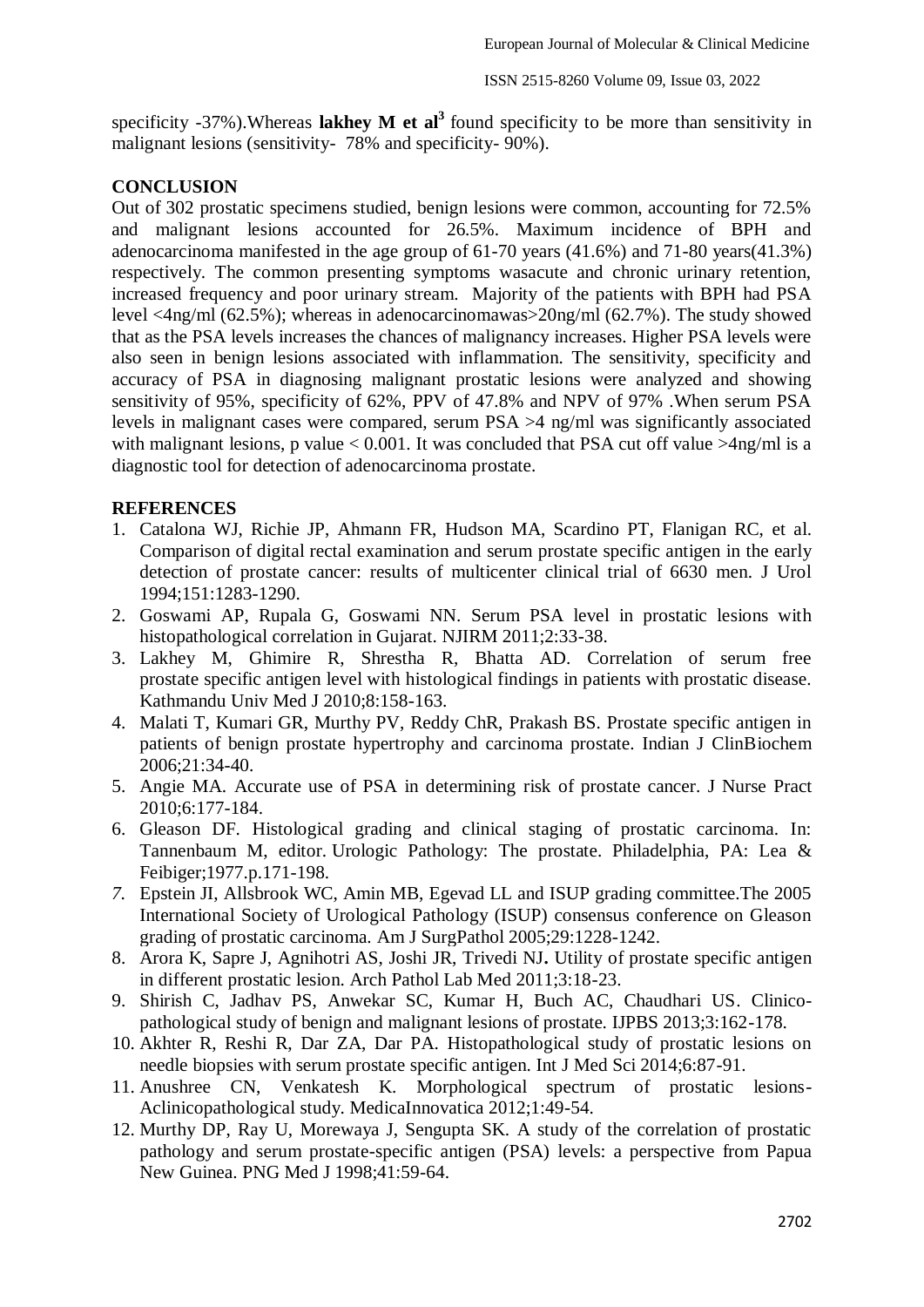specificity -37%).Whereas **lakhey M et al<sup>3</sup>**found specificity to be more than sensitivity in malignant lesions (sensitivity- 78% and specificity- 90%).

## **CONCLUSION**

Out of 302 prostatic specimens studied, benign lesions were common, accounting for 72.5% and malignant lesions accounted for 26.5%. Maximum incidence of BPH and adenocarcinoma manifested in the age group of 61-70 years (41.6%) and 71-80 years(41.3%) respectively. The common presenting symptoms wasacute and chronic urinary retention, increased frequency and poor urinary stream. Majority of the patients with BPH had PSA level <4ng/ml (62.5%); whereas in adenocarcinomawas>20ng/ml (62.7%). The study showed that as the PSA levels increases the chances of malignancy increases. Higher PSA levels were also seen in benign lesions associated with inflammation. The sensitivity, specificity and accuracy of PSA in diagnosing malignant prostatic lesions were analyzed and showing sensitivity of 95%, specificity of 62%, PPV of 47.8% and NPV of 97% .When serum PSA levels in malignant cases were compared, serum PSA >4 ng/ml was significantly associated with malignant lesions, p value  $< 0.001$ . It was concluded that PSA cut off value  $>4$ ng/ml is a diagnostic tool for detection of adenocarcinoma prostate.

### **REFERENCES**

- 1. Catalona WJ, Richie JP, Ahmann FR, Hudson MA, Scardino PT, Flanigan RC, et al. Comparison of digital rectal examination and serum prostate specific antigen in the early detection of prostate cancer: results of multicenter clinical trial of 6630 men. J Urol 1994;151:1283-1290.
- 2. Goswami AP, Rupala G, Goswami NN. Serum PSA level in prostatic lesions with histopathological correlation in Gujarat. NJIRM 2011;2:33-38.
- 3. Lakhey M, Ghimire R, Shrestha R, Bhatta AD. Correlation of serum free prostate specific antigen level with histological findings in patients with prostatic disease. Kathmandu Univ Med J 2010;8:158-163.
- 4. Malati T, Kumari GR, Murthy PV, Reddy ChR, Prakash BS. Prostate specific antigen in patients of benign prostate hypertrophy and carcinoma prostate. Indian J ClinBiochem 2006;21:34-40.
- 5. Angie MA. Accurate use of PSA in determining risk of prostate cancer. J Nurse Pract 2010;6:177-184.
- 6. Gleason DF. Histological grading and clinical staging of prostatic carcinoma. In: Tannenbaum M, editor. Urologic Pathology: The prostate. Philadelphia, PA: Lea & Feibiger;1977.p.171-198.
- *7.* Epstein JI, Allsbrook WC, Amin MB, Egevad LL and ISUP grading committee.The 2005 International Society of Urological Pathology (ISUP) consensus conference on Gleason grading of prostatic carcinoma. Am J SurgPathol 2005;29:1228-1242.
- 8. Arora K, Sapre J, Agnihotri AS, Joshi JR, Trivedi NJ**.** Utility of prostate specific antigen in different prostatic lesion. Arch Pathol Lab Med 2011;3:18-23.
- 9. Shirish C, Jadhav PS, Anwekar SC, Kumar H, Buch AC, Chaudhari US. Clinicopathological study of benign and malignant lesions of prostate. IJPBS 2013;3:162-178.
- 10. Akhter R, Reshi R, Dar ZA, Dar PA. Histopathological study of prostatic lesions on needle biopsies with serum prostate specific antigen. Int J Med Sci 2014;6:87-91.
- 11. Anushree CN, Venkatesh K. Morphological spectrum of prostatic lesions-Aclinicopathological study. MedicaInnovatica 2012;1:49-54.
- 12. Murthy DP, Ray U, Morewaya J, Sengupta SK. A study of the correlation of prostatic pathology and serum prostate-specific antigen (PSA) levels: a perspective from Papua New Guinea. PNG Med J 1998;41:59-64.